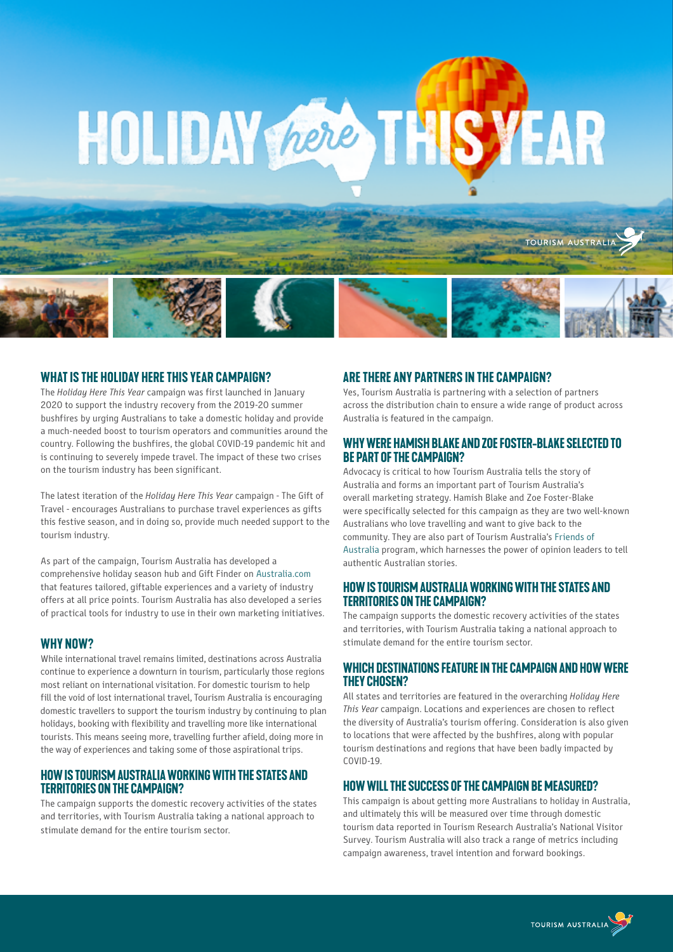# HOLIDAY ROOM THIS YEAR

#### **What is the Holiday Here This Year campaign?**

The *Holiday Here This Year* campaign was first launched in January 2020 to support the industry recovery from the 2019-20 summer bushfires by urging Australians to take a domestic holiday and provide a much-needed boost to tourism operators and communities around the country. Following the bushfires, the global COVID-19 pandemic hit and is continuing to severely impede travel. The impact of these two crises on the tourism industry has been significant.

The latest iteration of the *Holiday Here This Year* campaign - The Gift of Travel - encourages Australians to purchase travel experiences as gifts this festive season, and in doing so, provide much needed support to the tourism industry.

As part of the campaign, Tourism Australia has developed a comprehensive holiday season hub and Gift Finder on [Australia.com](https://www.australia.com/en) that features tailored, giftable experiences and a variety of industry offers at all price points. Tourism Australia has also developed a series of practical tools for industry to use in their own marketing initiatives.

#### **Why now?**

While international travel remains limited, destinations across Australia continue to experience a downturn in tourism, particularly those regions most reliant on international visitation. For domestic tourism to help fill the void of lost international travel, Tourism Australia is encouraging domestic travellers to support the tourism industry by continuing to plan holidays, booking with flexibility and travelling more like international tourists. This means seeing more, travelling further afield, doing more in the way of experiences and taking some of those aspirational trips.

#### **How is Tourism Australia working with the states and territories on the campaign?**

The campaign supports the domestic recovery activities of the states and territories, with Tourism Australia taking a national approach to stimulate demand for the entire tourism sector.

#### **Are there any partners in the campaign?**

Yes, Tourism Australia is partnering with a selection of partners across the distribution chain to ensure a wide range of product across Australia is featured in the campaign.

TOURISM AUSTRALI

#### **Why were Hamish Blake and Zoe Foster-Blake selected to be part of the campaign?**

Advocacy is critical to how Tourism Australia tells the story of Australia and forms an important part of Tourism Australia's overall marketing strategy. Hamish Blake and Zoe Foster-Blake were specifically selected for this campaign as they are two well-known Australians who love travelling and want to give back to the community. They are also part of Tourism Australia's [Friends of](https://www.tourism.australia.com/en/news-and-media/resources-for-media/friends-of-australia.html)  [Australia](https://www.tourism.australia.com/en/news-and-media/resources-for-media/friends-of-australia.html) program, which harnesses the power of opinion leaders to tell authentic Australian stories.

#### **How is Tourism Australia working with the states and territories on the campaign?**

The campaign supports the domestic recovery activities of the states and territories, with Tourism Australia taking a national approach to stimulate demand for the entire tourism sector.

#### **Which destinations feature in the campaign and howwere they chosen?**

All states and territories are featured in the overarching *Holiday Here This Year* campaign. Locations and experiences are chosen to reflect the diversity of Australia's tourism offering. Consideration is also given to locations that were affected by the bushfires, along with popular tourism destinations and regions that have been badly impacted by COVID-19.

### **Howwill the success of the campaign be measured?**

This campaign is about getting more Australians to holiday in Australia, and ultimately this will be measured over time through domestic tourism data reported in Tourism Research Australia's National Visitor Survey. Tourism Australia will also track a range of metrics including campaign awareness, travel intention and forward bookings.